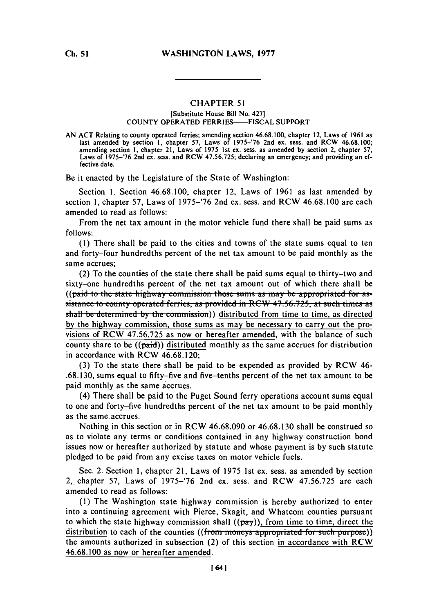## CHAPTER **51**

## [Substitute House Bill No. 427] **COUNTY OPERATED FERRIES-FISCAL SUPPORT**

**AN ACT** Relating to county operated ferries; amending **section 46.68.100,** chapter 12, Laws of **1961** as last amended **by** section **1,** chapter **57,** Laws of **1975-'76** 2nd ex. sess. and RCW **46.68.100;** amending section **1,** chapter 21, Laws of **1975** 1st ex. sess. as amended **by** section 2, chapter **57,** Laws of **1975-'76** 2nd ex. sess. and RCW **47.56.725;** declaring an emergency; and providing an effective date.

Be it enacted **by** the Legislature of the State of Washington:

Section **1.** Section **46.68.100,** chapter 12, Laws of **1961** as last amended **by** section **1,** chapter **57,** Laws of **1975-'76** 2nd ex. sess. and RCW **46.68.100** are each amended to read as follows:

From the net tax amount in the motor vehicle fund there shall be paid sums as **follows:**

**(1)** There shall be paid to the cities and towns of the state sums equal to ten and forty-four hundredths percent of the net tax amount to be paid monthly as the same accrues;

(2) To the counties of the state there shall be paid sums equal to thirty-two and sixty-one hundredths percent of the net tax amount out of which there shall be ((paid to the state highway commission those sums as may be appropriated for assistance to county operated ferries, as provided in RCW 47.56.725, at such times as shall be determined by the commission)) distributed from time to time, as directed **by** the highway commission, those sums as may be necessary to carry out the provisions of RCW **47.56.725** as now or hereafter amended, with the balance of such county share to be  $((\overrightarrow{paid}))$  distributed monthly as the same accrues for distribution in accordance with RCW **46.68.120;**

**(3)** To the state there shall be paid to be expended as provided **by** RCW 46- **.68.130,** sums equal to fifty-five and five-tenths percent of the net tax amount to be paid monthly as the same accrues.

(4) There shall be paid to the Puget Sound ferry operations account sums equal to one and forty-five hundredths percent of the net tax amount to be paid monthly as the same.accrues.

Nothing in this section or in RCW **46.68.090** or **46.68.130** shall be construed so as to violate any terms or conditions contained in any highway construction bond issues now or hereafter authorized **by** statute and whose payment is **by** such statute pledged to be paid from any excise taxes on motor vehicle fuels.

Sec. 2. Section **1,** chapter 21, Laws of **1975** 1st ex. sess. as amended **by** section 2,. chapter **57,** Laws of **1975-'76** 2nd ex. sess. and RCW **47.56.725** are each amended to read as follows:

**(1)** The Washington state highway commission is hereby authorized to enter into a continuing agreement with Pierce, Skagit, and Whatcom counties pursuant to which the state highway commission shall  $((\overline{pay}))$ , from time to time, direct the distribution to each of the counties ((from moneys appropriated for such purpose)) the amounts authorized in subsection (2) of this section in accordance with RCW **46.68.100** as now or hereafter amended.